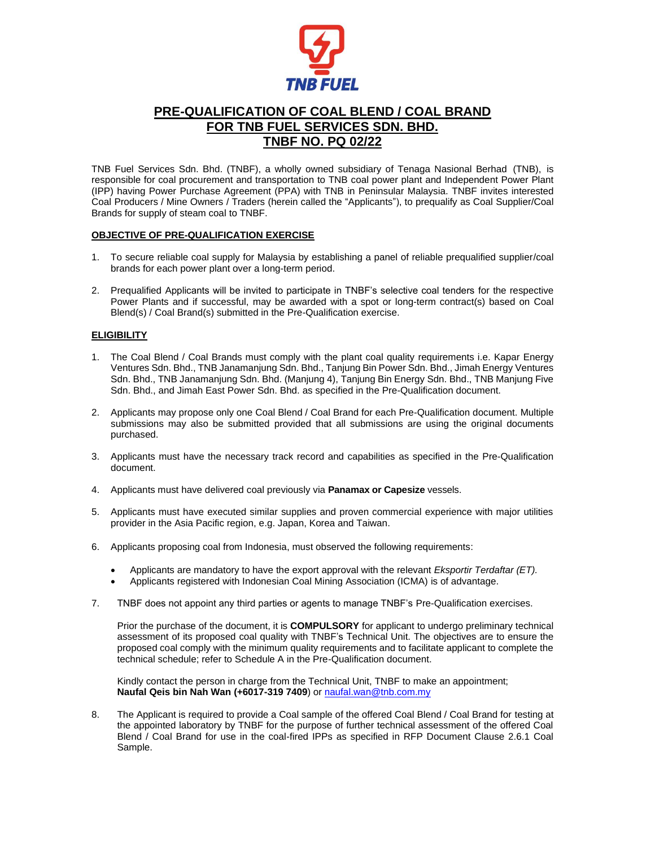

# **PRE-QUALIFICATION OF COAL BLEND / COAL BRAND FOR TNB FUEL SERVICES SDN. BHD. TNBF NO. PQ 02/22**

TNB Fuel Services Sdn. Bhd. (TNBF), a wholly owned subsidiary of Tenaga Nasional Berhad (TNB), is responsible for coal procurement and transportation to TNB coal power plant and Independent Power Plant (IPP) having Power Purchase Agreement (PPA) with TNB in Peninsular Malaysia. TNBF invites interested Coal Producers / Mine Owners / Traders (herein called the "Applicants"), to prequalify as Coal Supplier/Coal Brands for supply of steam coal to TNBF.

### **OBJECTIVE OF PRE-QUALIFICATION EXERCISE**

- 1. To secure reliable coal supply for Malaysia by establishing a panel of reliable prequalified supplier/coal brands for each power plant over a long-term period.
- 2. Prequalified Applicants will be invited to participate in TNBF's selective coal tenders for the respective Power Plants and if successful, may be awarded with a spot or long-term contract(s) based on Coal Blend(s) / Coal Brand(s) submitted in the Pre-Qualification exercise.

## **ELIGIBILITY**

- 1. The Coal Blend / Coal Brands must comply with the plant coal quality requirements i.e. Kapar Energy Ventures Sdn. Bhd., TNB Janamanjung Sdn. Bhd., Tanjung Bin Power Sdn. Bhd., Jimah Energy Ventures Sdn. Bhd., TNB Janamanjung Sdn. Bhd. (Manjung 4), Tanjung Bin Energy Sdn. Bhd., TNB Manjung Five Sdn. Bhd., and Jimah East Power Sdn. Bhd. as specified in the Pre-Qualification document.
- 2. Applicants may propose only one Coal Blend / Coal Brand for each Pre-Qualification document. Multiple submissions may also be submitted provided that all submissions are using the original documents purchased.
- 3. Applicants must have the necessary track record and capabilities as specified in the Pre-Qualification document.
- 4. Applicants must have delivered coal previously via **Panamax or Capesize** vessels.
- 5. Applicants must have executed similar supplies and proven commercial experience with major utilities provider in the Asia Pacific region, e.g. Japan, Korea and Taiwan.
- 6. Applicants proposing coal from Indonesia, must observed the following requirements:
	- Applicants are mandatory to have the export approval with the relevant *Eksportir Terdaftar (ET).*
	- Applicants registered with Indonesian Coal Mining Association (ICMA) is of advantage.
- 7. TNBF does not appoint any third parties or agents to manage TNBF's Pre-Qualification exercises.

Prior the purchase of the document, it is **COMPULSORY** for applicant to undergo preliminary technical assessment of its proposed coal quality with TNBF's Technical Unit. The objectives are to ensure the proposed coal comply with the minimum quality requirements and to facilitate applicant to complete the technical schedule; refer to Schedule A in the Pre-Qualification document.

Kindly contact the person in charge from the Technical Unit, TNBF to make an appointment; **Naufal Qeis bin Nah Wan (+6017-319 7409**) or [naufal.wan@tnb.com.my](mailto:naufal.wan@tnb.com.my)

8. The Applicant is required to provide a Coal sample of the offered Coal Blend / Coal Brand for testing at the appointed laboratory by TNBF for the purpose of further technical assessment of the offered Coal Blend / Coal Brand for use in the coal-fired IPPs as specified in RFP Document Clause 2.6.1 Coal Sample.